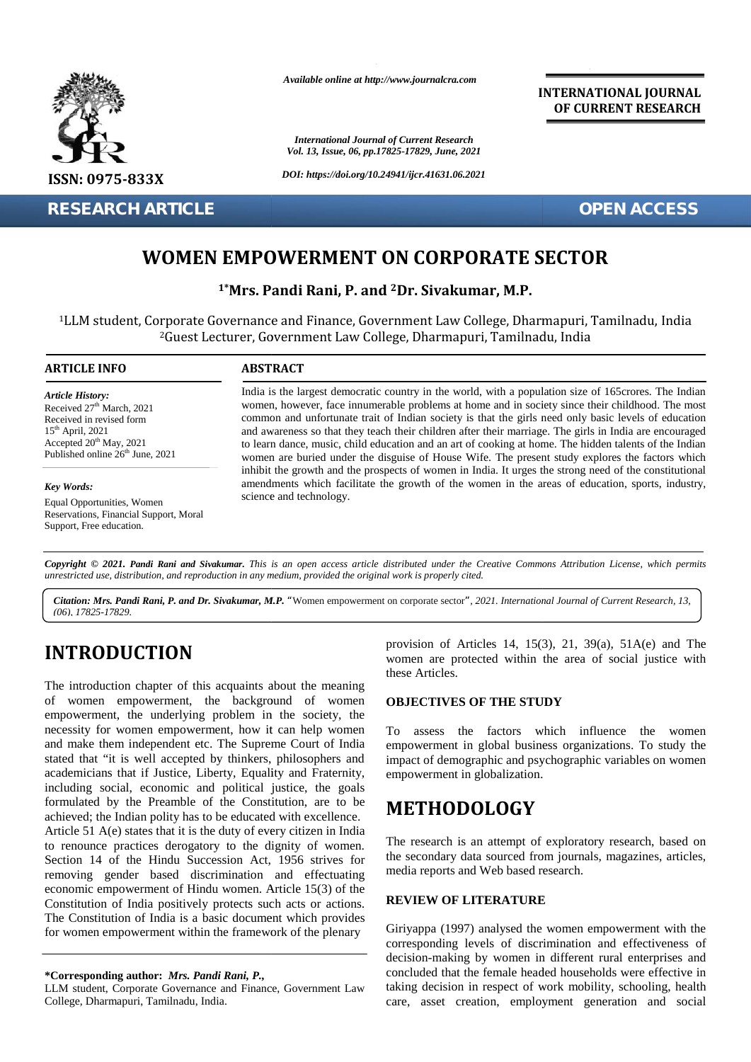

**RESEARCH ARTICLE OPEN ACCESS**

*Available online at http://www.journalcra.com*

*International Journal of Current Research Vol. 13, Issue, 06, pp.17825-17829, June, 2021*

*DOI: https://doi.org/10.24941/ijcr.41631.06.2021*

**INTERNATIONAL JOURNAL OF CURRENT RESEARCH**

## **WOMEN EMPOWERMENT ON CORPORATE SECTOR**

**1\*Mrs. Pandi Rani, P. and <sup>2</sup>Dr. Sivakumar, M.P. 1\*Mrs. 2**

<sup>1</sup>LLM student, Corporate Governance and Finance, Government Law College, Dharmapuri, Tamilnadu, India student, Corporate <sup>2</sup>Guest Lecturer, Government Law College, Dharmapuri, Tamilnadu, India

#### **ARTICLE INFO ABSTRACT ARTICLE ABSTRACT**

*Article History:* Received 27<sup>th</sup> March, 2021 Received 27<sup>-</sup> March, 2021<br>Received in revised form 15th April, 2021 Accepted  $20^{th}$  May, 2021 Published online  $26<sup>th</sup>$  June, 2021

*Key Words:* Equal Opportunities, Women Reservations, Financial Support, Moral Support, Free education. **(a)**<br> **(b)**<br> **(d)**<br> **(b)**<br> **(d)**<br> **(d)**<br> **(d)**<br> **(d)**<br> **(d)**<br> **(d)**<br> **(d)**<br> **(d)**<br> **(d)**<br> **(d)**<br> **(d)**<br> **(d)**<br> **(d)**<br> **(d)**<br> **(d)**<br> **(d)**<br> **(d)**<br> **(d)**<br> **(d)**<br> **(d)**<br> **(d)**<br> **(d)**<br> **(d)**<br> **(d)** 

India is the largest democratic country in the world, with a population size of 165crores. The Indian women, however, face innumerable problems at home and in society since their childhood. The most common and unfortunate trait of Indian society is that the girls need only basic levels of education and awareness so that they teach their children after their marriage. The girls in India are encouraged to learn dance, music, child education and an art of cooking at home. The hidden talents of the Indian women are buried under the disguise of House Wife. The present study explores the factors which inhibit the growth and the prospects of women in India. It urges the strong need of the constitutional amendments which facilitate the growth of the women in the areas of education, sports, industry, science and technology. women, however, face innumerable problems at home and in society since their childhood. The most<br>common and unfortunate trait of Indian society is that the girls need only basic levels of education<br>and awareness so that th women are buried under the disguise of House Wife. The present study explores inhibit the growth and the prospects of women in India. It urges the strong need of amendments which facilitate the growth of the women in the a **EXERCHARTICLE**<br> **WOMEN EMPOWERMENT ON CORPORATE SECTOR**<br>
<sup>1</sup>Mrs. Pandi Rani, P. and <sup>2</sup>Dr. Sivakumar, M.P.<br>
<sup>2</sup>Clust student, Corporate Governance and Finance, Government Law College, Dharmapuri, Tamilnadu, India<br>
<sup>2</sup>Gues May, 2021 to learn dance, music, child education and an art of cooking at home. The hidden<br>ne 26<sup>th</sup> June, 2021 to learn dance, music, child education and an art of cooking at home. The hidden<br>women are buried under the di **EN ACCESS**<br>
foscrores. The India<br>
childhood. The mc<br>
c levels of educatic<br>
India are encourage<br>
1 talents of the India<br>
1 of the constitution<br>
ion, sports, industrian<br> *License, which perm*<br> *urrent Research, 13,*<br> **D.** 5

**Copyright** © 2021. Pandi Rani and Sivakumar. This is an open access article distributed under the Creative Commons Attribution License, which permits<br>unrestricted use, distribution, and reproduction in any medium, provide *unrestricted use,distribution, and reproduction in any medium, provided the original work is properly cited.*

Citation: Mrs. Pandi Rani, P. and Dr. Sivakumar, M.P. "Women empowerment on corporate sector", 2021. International Journal of Current Research, 13, *(06), 17825-17829.*

# **INTRODUCTION INTRODUCTION**

The introduction chapter of this acquaints about the meaning of women empowerment, the background of women empowerment, the underlying problem in the society, the necessity for women empowerment, how it can help women The introduction chapter of this acquaints about the meaning<br>of women empowerment, the background of women **OB**,<br>empowerment, the underlying problem in the society, the<br>necessity for women empowerment, how it can help wome stated that "it is well accepted by thinkers, philosophers and impa academicians that if Justice, Liberty, Equality and Fraternity, including social, economic and political justice, the goals formulated by the Preamble of the Constitution, are to be achieved; the Indian polity has to be educated with excellence. Article 51 A(e) states that it is the duty of every citizen in India to renounce practices derogatory to the dignity of women. Section 14 of the Hindu Succession Act, 1956 strives for removing gender based discrimination and effectuating economic empowerment of Hindu women. Article 15(3) of the Constitution of India positively protects such acts or actions. The Constitution of India is a basic document which provides The Constitution of India is a basic document which provides<br>for women empowerment within the framework of the plenary Giri academicians that if Justice, Liberty, Equality and Fraternity,<br>including social, economic and political justice, the goals<br>formulated by the Preamble of the Constitution, are to be<br>achieved; the Indian polity has to be ed INTRODUCTION<br>
woman of Articles,<br>
The introduction chapter of this acquaints about the meaning<br>
these Articles.<br>
The inactyonal of women<br>
empowerment, the hadroground of women<br>
empowerment, the machynome of the social just **EMITIGLE MONE INTERNATION CORPORATE SECTOR**<br> **EMIT ALGON MONE INTERNATION CORPORATE SECTOR**<br> **IMMERITIGLE SECTION CORPORATE SECTOR**<br> **IMMERITE AND INTERNATION CORPORATE SECTOR**<br> **IMMERITE AND INTERNATION CORPORATE SECTOR** 

LLM student, Corporate Governance and Finance, Government Law College, Dharmapuri, Tamilnadu, India.

provision of Articles 14, 15(3), 21, 39(a), 51A(e) and The women are protected within the area of social justice with these Articles.

### **OBJECTIVES OF THE STUDY**

To assess the factors which influence the women empowerment in global business organizations. To study the impact of demographic and psychographic variables on women empowerment in globalization.

## **METHODOLOGY**

The research is an attempt of exploratory research, based on the secondary data sourced from journals, magazines, articles, media reports and Web based research.

#### **REVIEW OF LITERATURE**

Giriyappa (1997) analysed the women empowerment with the corresponding levels of discrimination and effectiveness of decision-making by women in different rural enterprises and concluded that the female headed households were effective in taking decision in respect of work mobility, schooling, health care, asset creation, employment generation and social

**<sup>\*</sup>Corresponding author:** *Mrs. Pandi Rani, P.,* **\*Corresponding** *Pandi Rani,*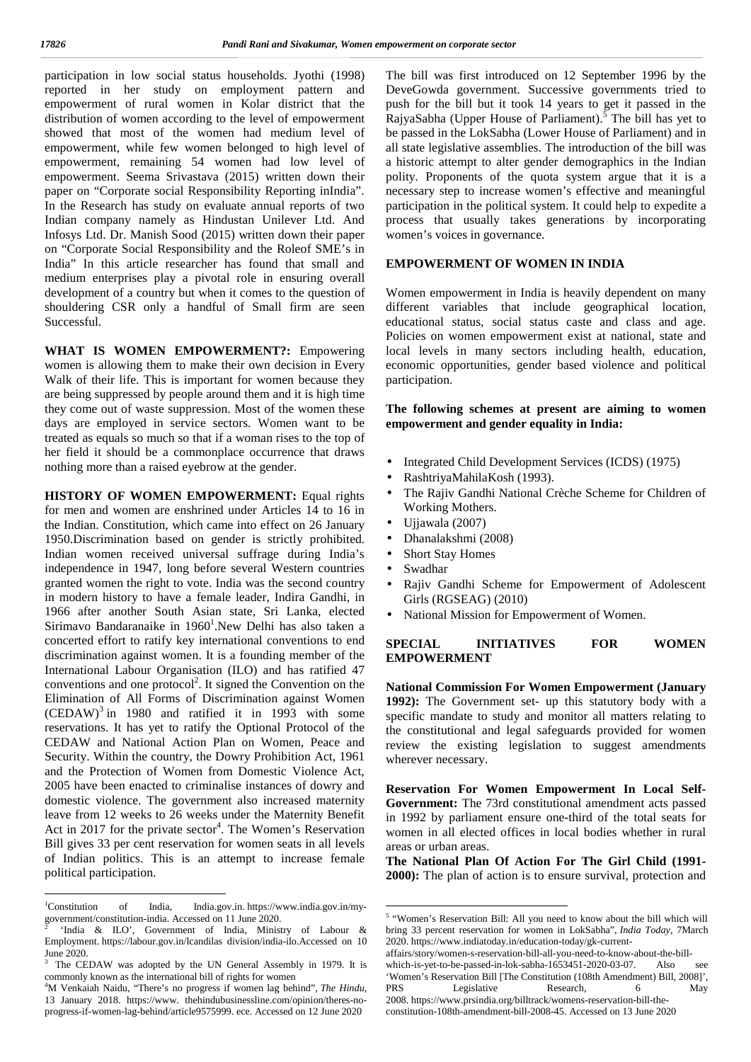participation in low social status households. Jyothi (1998) reported in her study on employment pattern and empowerment of rural women in Kolar district that the distribution of women according to the level of empowerment showed that most of the women had medium level of empowerment, while few women belonged to high level of empowerment, remaining 54 women had low level of empowerment. Seema Srivastava (2015) written down their paper on "Corporate social Responsibility Reporting inIndia". In the Research has study on evaluate annual reports of two Indian company namely as Hindustan Unilever Ltd. And Infosys Ltd. Dr. Manish Sood (2015) written down their paper on "Corporate Social Responsibility and the Roleof SME's in India" In this article researcher has found that small and medium enterprises play a pivotal role in ensuring overall development of a country but when it comes to the question of shouldering CSR only a handful of Small firm are seen Successful.

**WHAT IS WOMEN EMPOWERMENT?:** Empowering women is allowing them to make their own decision in Every Walk of their life. This is important for women because they are being suppressed by people around them and it is high time they come out of waste suppression. Most of the women these days are employed in service sectors. Women want to be treated as equals so much so that if a woman rises to the top of her field it should be a commonplace occurrence that draws nothing more than a raised eyebrow at the gender.

**HISTORY OF WOMEN EMPOWERMENT:** Equal rights for men and women are enshrined under Articles 14 to 16 in the Indian. Constitution, which came into effect on 26 January 1950.Discrimination based on gender is strictly prohibited. Indian women received universal suffrage during India's independence in 1947, long before several Western countries granted women the right to vote. India was the second country in modern history to have a female leader, Indira Gandhi, in 1966 after another South Asian state, Sri Lanka, elected Sirimavo Bandaranaike in  $1960<sup>1</sup>$ . New Delhi has also taken a concerted effort to ratify key international conventions to end **SPECIAL** discrimination against women. It is a founding member of the International Labour Organisation (ILO) and has ratified 47 conventions and one protocol<sup>2</sup>. It signed the Convention on the Nat Elimination of All Forms of Discrimination against Women  $(CEDAW)^3$  in 1980 and ratified it in 1993 with some spec reservations. It has yet to ratify the Optional Protocol of the CEDAW and National Action Plan on Women, Peace and Security. Within the country, the Dowry Prohibition Act, 1961 and the Protection of Women from Domestic Violence Act, 2005 have been enacted to criminalise instances of dowry and domestic violence. The government also increased maternity leave from 12 weeks to 26 weeks under the Maternity Benefit Act in 2017 for the private sector<sup>4</sup>. The Women's Reservation wom Bill gives 33 per cent reservation for women seats in all levels of Indian politics. This is an attempt to increase female political participation.

The bill was first introduced on 12 September 1996 by the DeveGowda government. Successive governments tried to push for the bill but it took 14 years to get it passed in the RajyaSabha (Upper House of Parliament).<sup>5</sup> The bill has yet to be passed in the LokSabha (Lower House of Parliament) and in all state legislative assemblies. The introduction of the bill was a historic attempt to alter gender demographics in the Indian polity. Proponents of the quota system argue that it is a necessary step to increase women's effective and meaningful participation in the political system. It could help to expedite a process that usually takes generations by incorporating women's voices in governance.

### **EMPOWERMENT OF WOMEN IN INDIA**

Women empowerment in India is heavily dependent on many different variables that include geographical location, educational status, social status caste and class and age. Policies on women empowerment exist at national, state and local levels in many sectors including health, education, economic opportunities, gender based violence and political participation.

**The following schemes at present are aiming to women empowerment and gender equality in India:**

- Integrated Child Development Services (ICDS) (1975)
- RashtriyaMahilaKosh (1993).
- The Rajiv Gandhi National Crèche Scheme for Children of Working Mothers.
- Ujiawala (2007)
- Dhanalakshmi (2008)
- Short Stay Homes
- Swadhar
- Rajiv Gandhi Scheme for Empowerment of Adolescent Girls (RGSEAG) (2010)
- National Mission for Empowerment of Women.

#### **INITIATIVES FOR WOMEN EMPOWERMENT**

**National Commission For Women Empowerment (January 1992):** The Government set- up this statutory body with a specific mandate to study and monitor all matters relating to the constitutional and legal safeguards provided for women review the existing legislation to suggest amendments wherever necessary.

**Reservation For Women Empowerment In Local Self- Government:** The 73rd constitutional amendment acts passed in 1992 by parliament ensure one-third of the total seats for women in all elected offices in local bodies whether in rural areas or urban areas.

**The National Plan Of Action For The Girl Child (1991- 2000):** The plan of action is to ensure survival, protection and

<sup>1</sup>Constitution of India, India.gov.in. https://www.india.gov.in/my government/constitution-india. Accessed on 11 June 2020.

<sup>&#</sup>x27;India & ILO', Government of India, Ministry of Labour & Employment. https://labour.gov.in/lcandilas division/india-ilo.Accessed on 10 June 2020.

The CEDAW was adopted by the UN General Assembly in 1979. It is commonly known as the international bill of rights for women

<sup>4</sup>M Venkaiah Naidu, "There's no progress if women lag behind", *The Hindu*, 13 January 2018. https://www. thehindubusinessline.com/opinion/theres-no progress-if-women-lag-behind/article9575999. ece. Accessed on 12 June 2020

<sup>5</sup> "Women's Reservation Bill: All you need to know about the bill which will bring 33 percent reservation for women in LokSabha", *India Today*, 7March 2020. https://www.indiatoday.in/education-today/gk-current-

affairs/story/women-s-reservation-bill-all-you-need-to-know-about-the-bill which-is-yet-to-be-passed-in-lok-sabha-1653451-2020-03-07. Also see 'Women's Reservation Bill [The Constitution (108th Amendment) Bill, 2008]', PRS Legislative Research, 6 May 2008. https://www.prsindia.org/billtrack/womens-reservation-bill-the-

constitution-108th-amendment-bill-2008-45. Accessed on 13 June 2020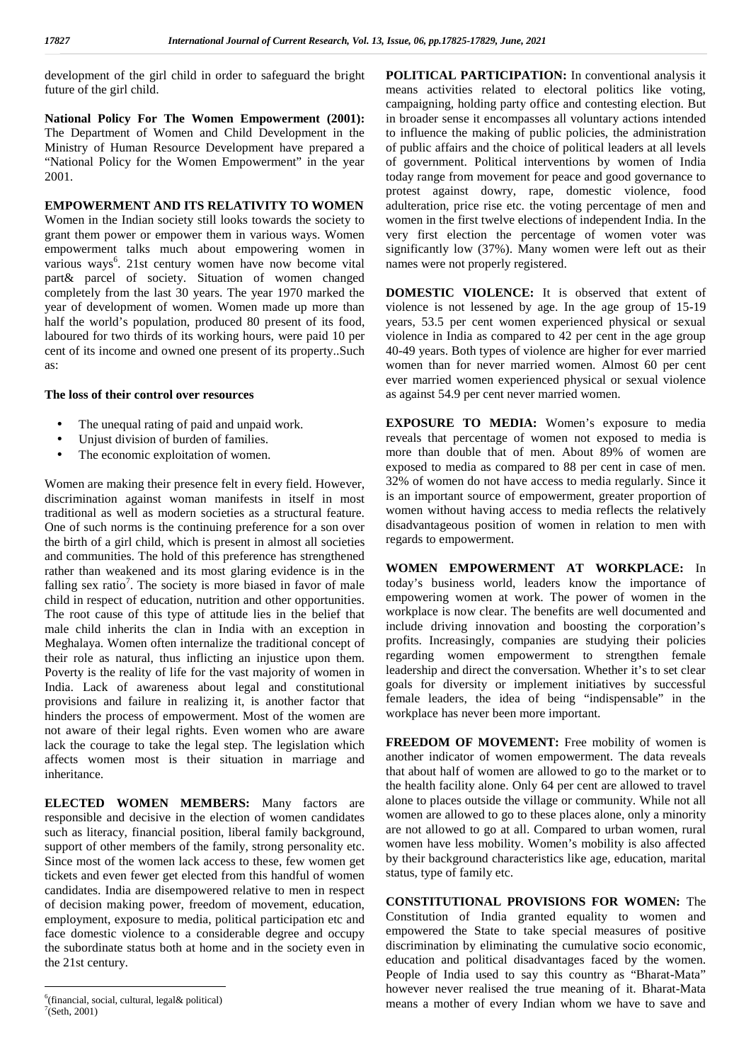development of the girl child in order to safeguard the bright future of the girl child.

**National Policy For The Women Empowerment (2001):** The Department of Women and Child Development in the Ministry of Human Resource Development have prepared a "National Policy for the Women Empowerment" in the year 2001.

### **EMPOWERMENT AND ITS RELATIVITY TO WOMEN**

Women in the Indian society still looks towards the society to grant them power or empower them in various ways. Women empowerment talks much about empowering women in various ways<sup>6</sup>. 21st century women have now become vital r part& parcel of society. Situation of women changed completely from the last 30 years. The year 1970 marked the year of development of women. Women made up more than half the world's population, produced 80 present of its food, laboured for two thirds of its working hours, were paid 10 per cent of its income and owned one present of its property..Such as:

#### **The loss of their control over resources**

- The unequal rating of paid and unpaid work.
- Unjust division of burden of families.
- The economic exploitation of women.

Women are making their presence felt in every field. However, discrimination against woman manifests in itself in most traditional as well as modern societies as a structural feature. One of such norms is the continuing preference for a son over the birth of a girl child, which is present in almost all societies and communities. The hold of this preference has strengthened rather than weakened and its most glaring evidence is in the falling sex ratio<sup>7</sup>. The society is more biased in favor of male toda child in respect of education, nutrition and other opportunities. The root cause of this type of attitude lies in the belief that male child inherits the clan in India with an exception in Meghalaya. Women often internalize the traditional concept of their role as natural, thus inflicting an injustice upon them. Poverty is the reality of life for the vast majority of women in India. Lack of awareness about legal and constitutional provisions and failure in realizing it, is another factor that hinders the process of empowerment. Most of the women are not aware of their legal rights. Even women who are aware lack the courage to take the legal step. The legislation which affects women most is their situation in marriage and inheritance.

**ELECTED WOMEN MEMBERS:** Many factors are responsible and decisive in the election of women candidates such as literacy, financial position, liberal family background, support of other members of the family, strong personality etc. Since most of the women lack access to these, few women get tickets and even fewer get elected from this handful of women candidates. India are disempowered relative to men in respect of decision making power, freedom of movement, education, employment, exposure to media, political participation etc and face domestic violence to a considerable degree and occupy the subordinate status both at home and in the society even in the 21st century.

**POLITICAL PARTICIPATION:** In conventional analysis it means activities related to electoral politics like voting, campaigning, holding party office and contesting election. But in broader sense it encompasses all voluntary actions intended to influence the making of public policies, the administration of public affairs and the choice of political leaders at all levels of government. Political interventions by women of India today range from movement for peace and good governance to protest against dowry, rape, domestic violence, food adulteration, price rise etc. the voting percentage of men and women in the first twelve elections of independent India. In the very first election the percentage of women voter was significantly low (37%). Many women were left out as their names were not properly registered.

**DOMESTIC VIOLENCE:** It is observed that extent of violence is not lessened by age. In the age group of 15-19 years, 53.5 per cent women experienced physical or sexual violence in India as compared to 42 per cent in the age group 40-49 years. Both types of violence are higher for ever married women than for never married women. Almost 60 per cent ever married women experienced physical or sexual violence as against 54.9 per cent never married women.

**EXPOSURE TO MEDIA:** Women's exposure to media reveals that percentage of women not exposed to media is more than double that of men. About 89% of women are exposed to media as compared to 88 per cent in case of men. 32% of women do not have access to media regularly. Since it is an important source of empowerment, greater proportion of women without having access to media reflects the relatively disadvantageous position of women in relation to men with regards to empowerment.

**WOMEN EMPOWERMENT AT WORKPLACE:** In today's business world, leaders know the importance of empowering women at work. The power of women in the workplace is now clear. The benefits are well documented and include driving innovation and boosting the corporation's profits. Increasingly, companies are studying their policies regarding women empowerment to strengthen female leadership and direct the conversation. Whether it's to set clear goals for diversity or implement initiatives by successful female leaders, the idea of being "indispensable" in the workplace has never been more important.

**FREEDOM OF MOVEMENT:** Free mobility of women is another indicator of women empowerment. The data reveals that about half of women are allowed to go to the market or to the health facility alone. Only 64 per cent are allowed to travel alone to places outside the village or community. While not all women are allowed to go to these places alone, only a minority are not allowed to go at all. Compared to urban women, rural women have less mobility. Women's mobility is also affected by their background characteristics like age, education, marital status, type of family etc.

**CONSTITUTIONAL PROVISIONS FOR WOMEN:** The Constitution of India granted equality to women and empowered the State to take special measures of positive discrimination by eliminating the cumulative socio economic, education and political disadvantages faced by the women. People of India used to say this country as "Bharat-Mata" however never realised the true meaning of it. Bharat-Mata means a mother of every Indian whom we have to save and

<sup>6</sup>(financial, social, cultural, legal& political)  $7$ (Seth, 2001)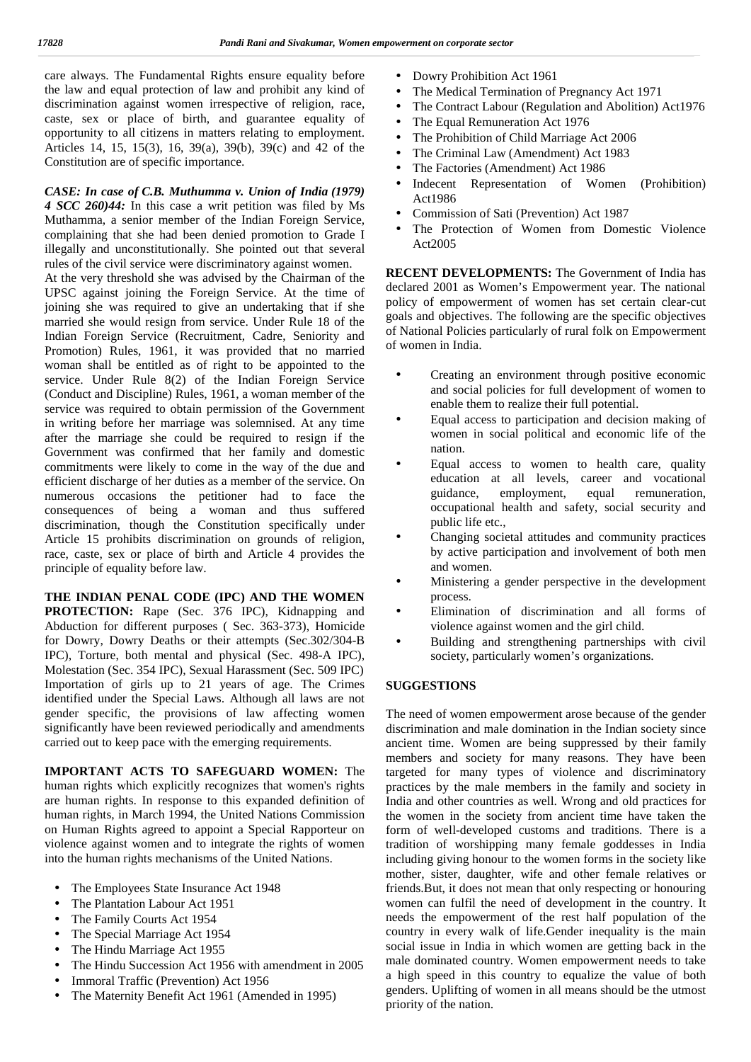care always. The Fundamental Rights ensure equality before the law and equal protection of law and prohibit any kind of discrimination against women irrespective of religion, race, caste, sex or place of birth, and guarantee equality of opportunity to all citizens in matters relating to employment. Articles 14, 15, 15(3), 16, 39(a), 39(b), 39(c) and 42 of the Constitution are of specific importance.

*CASE: In case of C.B. Muthumma v. Union of India (1979) 4 SCC 260)44:* In this case a writ petition was filed by Ms Muthamma, a senior member of the Indian Foreign Service, complaining that she had been denied promotion to Grade I illegally and unconstitutionally. She pointed out that several rules of the civil service were discriminatory against women.

At the very threshold she was advised by the Chairman of the UPSC against joining the Foreign Service. At the time of joining she was required to give an undertaking that if she married she would resign from service. Under Rule 18 of the Indian Foreign Service (Recruitment, Cadre, Seniority and Promotion) Rules, 1961, it was provided that no married woman shall be entitled as of right to be appointed to the corrier  $\sum_{n=1}^{\infty}$  Under Bule  $\mathcal{L}(2)$  of the Indian Espaina Service service. Under Rule 8(2) of the Indian Foreign Service (Conduct and Discipline) Rules, 1961, a woman member of the service was required to obtain permission of the Government in writing before her marriage was solemnised. At any time after the marriage she could be required to resign if the Government was confirmed that her family and domestic commitments were likely to come in the way of the due and efficient discharge of her duties as a member of the service. On numerous occasions the petitioner had to face the consequences of being a woman and thus suffered discrimination, though the Constitution specifically under Article 15 prohibits discrimination on grounds of religion, race, caste, sex or place of birth and Article 4 provides the principle of equality before law.

**THE INDIAN PENAL CODE (IPC) AND THE WOMEN<br><b>PROTECTION:** Rape (Sec. 376 IPC). Kidnapping and **PROTECTION:** Rape (Sec. 376 IPC), Kidnapping and Abduction for different purposes ( Sec. 363-373), Homicide for Dowry, Dowry Deaths or their attempts (Sec.302/304-B IPC), Torture, both mental and physical (Sec. 498-A IPC), Molestation (Sec. 354 IPC), Sexual Harassment (Sec. 509 IPC) Importation of girls up to 21 years of age. The Crimes identified under the Special Laws. Although all laws are not gender specific, the provisions of law affecting women significantly have been reviewed periodically and amendments carried out to keep pace with the emerging requirements.

**IMPORTANT ACTS TO SAFEGUARD WOMEN:** The human rights which explicitly recognizes that women's rights are human rights. In response to this expanded definition of human rights, in March 1994, the United Nations Commission on Human Rights agreed to appoint a Special Rapporteur on violence against women and to integrate the rights of women into the human rights mechanisms of the United Nations.

- The Employees State Insurance Act 1948
- The Plantation Labour Act 1951
- The Family Courts Act 1954
- The Special Marriage Act 1954
- The Hindu Marriage Act 1955
- The Hindu Succession Act 1956 with amendment in 2005
- Immoral Traffic (Prevention) Act 1956
- The Maternity Benefit Act 1961 (Amended in 1995)
- Dowry Prohibition Act 1961
- The Medical Termination of Pregnancy Act 1971
- The Contract Labour (Regulation and Abolition) Act1976
- The Equal Remuneration Act 1976
- The Prohibition of Child Marriage Act 2006
- The Criminal Law (Amendment) Act 1983
- The Factories (Amendment) Act 1986
- Indecent Representation of Women (Prohibition) Act1986
- Commission of Sati (Prevention) Act 1987
- The Protection of Women from Domestic Violence Act2005

**RECENT DEVELOPMENTS:** The Government of India has declared 2001 as Women's Empowerment year. The national policy of empowerment of women has set certain clear-cut goals and objectives. The following are the specific objectives of National Policies particularly of rural folk on Empowerment of women in India.

- Creating an environment through positive economic and social policies for full development of women to enable them to realize their full potential.
- Equal access to participation and decision making of women in social political and economic life of the nation.
- Equal access to women to health care, quality education at all levels, career and vocational guidance, employment, equal remuneration, occupational health and safety, social security and public life etc.,
- Changing societal attitudes and community practices by active participation and involvement of both men and women.
- Ministering a gender perspective in the development process.
- Elimination of discrimination and all forms of violence against women and the girl child.
- Building and strengthening partnerships with civil society, particularly women's organizations.

### **SUGGESTIONS**

The need of women empowerment arose because of the gender discrimination and male domination in the Indian society since ancient time. Women are being suppressed by their family members and society for many reasons. They have been targeted for many types of violence and discriminatory practices by the male members in the family and society in India and other countries as well. Wrong and old practices for the women in the society from ancient time have taken the form of well-developed customs and traditions. There is a tradition of worshipping many female goddesses in India including giving honour to the women forms in the society like mother, sister, daughter, wife and other female relatives or friends.But, it does not mean that only respecting or honouring women can fulfil the need of development in the country. It needs the empowerment of the rest half population of the country in every walk of life.Gender inequality is the main social issue in India in which women are getting back in the male dominated country. Women empowerment needs to take a high speed in this country to equalize the value of both genders. Uplifting of women in all means should be the utmost priority of the nation.